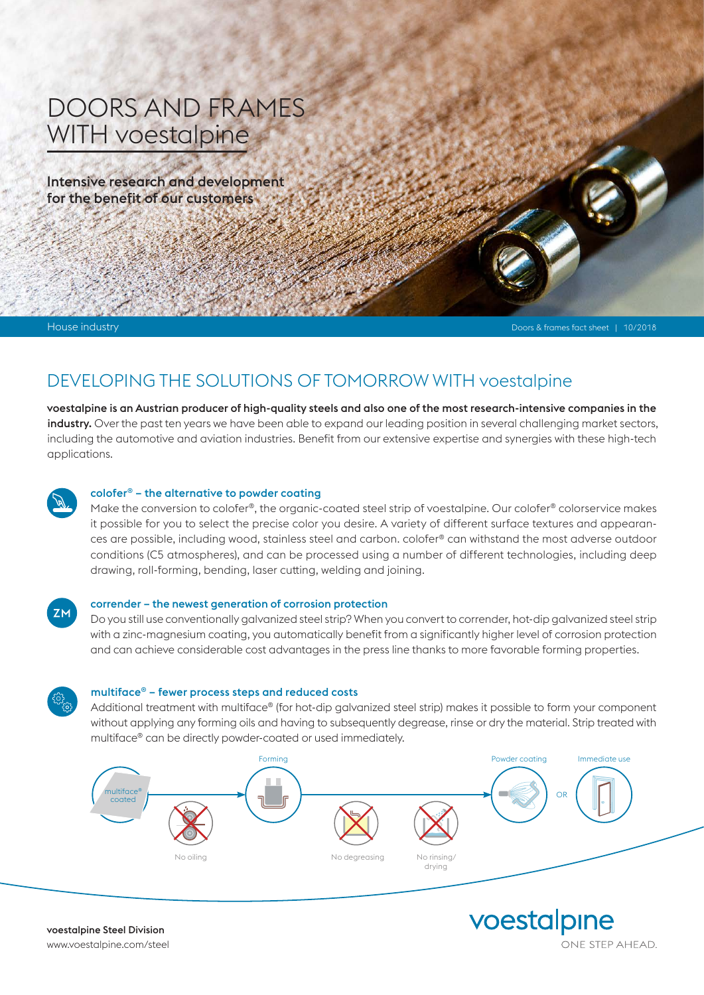# DOORS AND FRAMES WITH voestalpine

Intensive research and development for the benefit of our customers

House industry Doors & frames fact sheet | 10/2018

## DEVELOPING THE SOLUTIONS OF TOMORROW WITH voestalpine

voestalpine is an Austrian producer of high-quality steels and also one of the most research-intensive companies in the industry. Over the past ten years we have been able to expand our leading position in several challenging market sectors, including the automotive and aviation industries. Benefit from our extensive expertise and synergies with these high-tech applications.



#### colofer® – the alternative to powder coating

Make the conversion to colofer®, the organic-coated steel strip of voestalpine. Our colofer® colorservice makes it possible for you to select the precise color you desire. A variety of different surface textures and appearances are possible, including wood, stainless steel and carbon. colofer® can withstand the most adverse outdoor conditions (C5 atmospheres), and can be processed using a number of different technologies, including deep drawing, roll-forming, bending, laser cutting, welding and joining.



#### corrender – the newest generation of corrosion protection

Do you still use conventionally galvanized steel strip? When you convert to corrender, hot-dip galvanized steel strip with a zinc-magnesium coating, you automatically benefit from a significantly higher level of corrosion protection and can achieve considerable cost advantages in the press line thanks to more favorable forming properties.



#### multiface® – fewer process steps and reduced costs

Additional treatment with multiface® (for hot-dip galvanized steel strip) makes it possible to form your component without applying any forming oils and having to subsequently degrease, rinse or dry the material. Strip treated with multiface® can be directly powder-coated or used immediately.



voestalpine ONE STEP AHEAD.